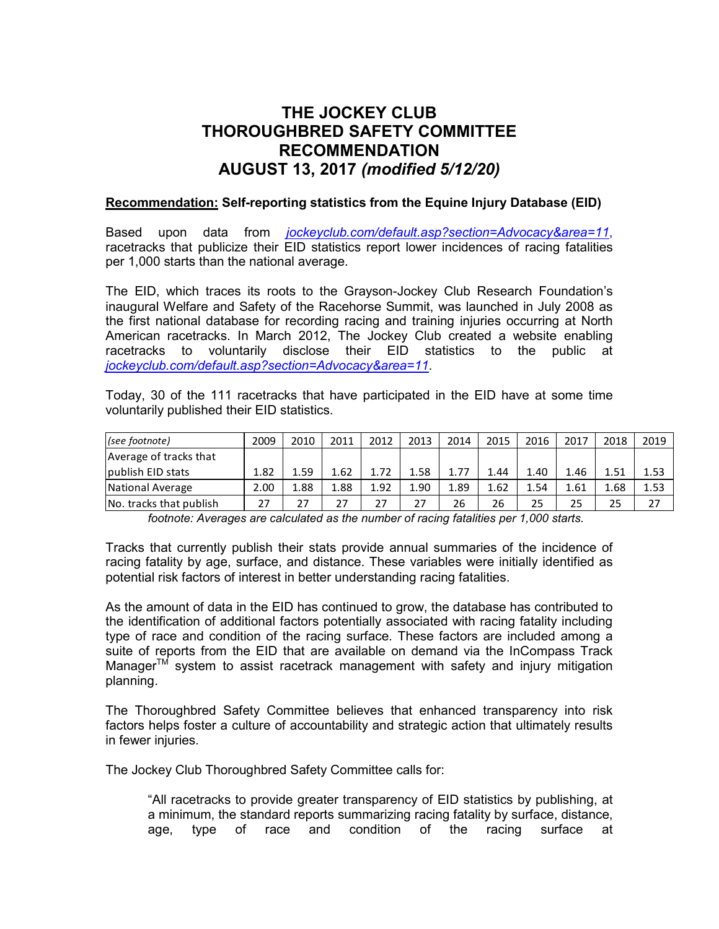## **THE JOCKEY CLUB THOROUGHBRED SAFETY COMMITTEE RECOMMENDATION AUGUST 13, 2017** *(modified 5/12/20)*

## **Recommendation: Self-reporting statistics from the Equine Injury Database (EID)**

Based upon data from *[jockeyclub.com/default.asp?section=Advocacy&area=11](http://jockeyclub.com/default.asp?section=Advocacy&area=11)*, racetracks that publicize their EID statistics report lower incidences of racing fatalities per 1,000 starts than the national average.

The EID, which traces its roots to the Grayson-Jockey Club Research Foundation's inaugural Welfare and Safety of the Racehorse Summit, was launched in July 2008 as the first national database for recording racing and training injuries occurring at North American racetracks. In March 2012, The Jockey Club created a website enabling racetracks to voluntarily disclose their EID statistics to the public at *[jockeyclub.com/default.asp?section=Advocacy&area=11](http://www.jockeyclub.com/default.asp?section=Advocacy&area=11)*.

Today, 30 of the 111 racetracks that have participated in the EID have at some time voluntarily published their EID statistics.

| $ $ (see footnote)      | 2009 | 2010 | 2011 | 2012 | 2013 | 2014 | 2015 | 2016 | 2017 | 2018 | 2019 |
|-------------------------|------|------|------|------|------|------|------|------|------|------|------|
| Average of tracks that  |      |      |      |      |      |      |      |      |      |      |      |
| lpublish EID stats      | 1.82 | 1.59 | 1.62 | 1.72 | 1.58 | 1.77 | .44  | 1.40 | 1.46 | 1.51 | 1.53 |
| National Average        | 2.00 | 1.88 | 1.88 | 1.92 | 1.90 | 1.89 | 1.62 | 1.54 | 1.61 | 1.68 | 1.53 |
| No. tracks that publish |      | 27   |      | 27   | 27   | 26   | 26   | 25   | 25   | 25   | 27   |

*footnote: Averages are calculated as the number of racing fatalities per 1,000 starts.*

Tracks that currently publish their stats provide annual summaries of the incidence of racing fatality by age, surface, and distance. These variables were initially identified as potential risk factors of interest in better understanding racing fatalities.

As the amount of data in the EID has continued to grow, the database has contributed to the identification of additional factors potentially associated with racing fatality including type of race and condition of the racing surface. These factors are included among a suite of reports from the EID that are available on demand via the InCompass Track Manager $TM$  system to assist racetrack management with safety and injury mitigation planning.

The Thoroughbred Safety Committee believes that enhanced transparency into risk factors helps foster a culture of accountability and strategic action that ultimately results in fewer injuries.

The Jockey Club Thoroughbred Safety Committee calls for:

"All racetracks to provide greater transparency of EID statistics by publishing, at a minimum, the standard reports summarizing racing fatality by surface, distance, age, type of race and condition of the racing surface at